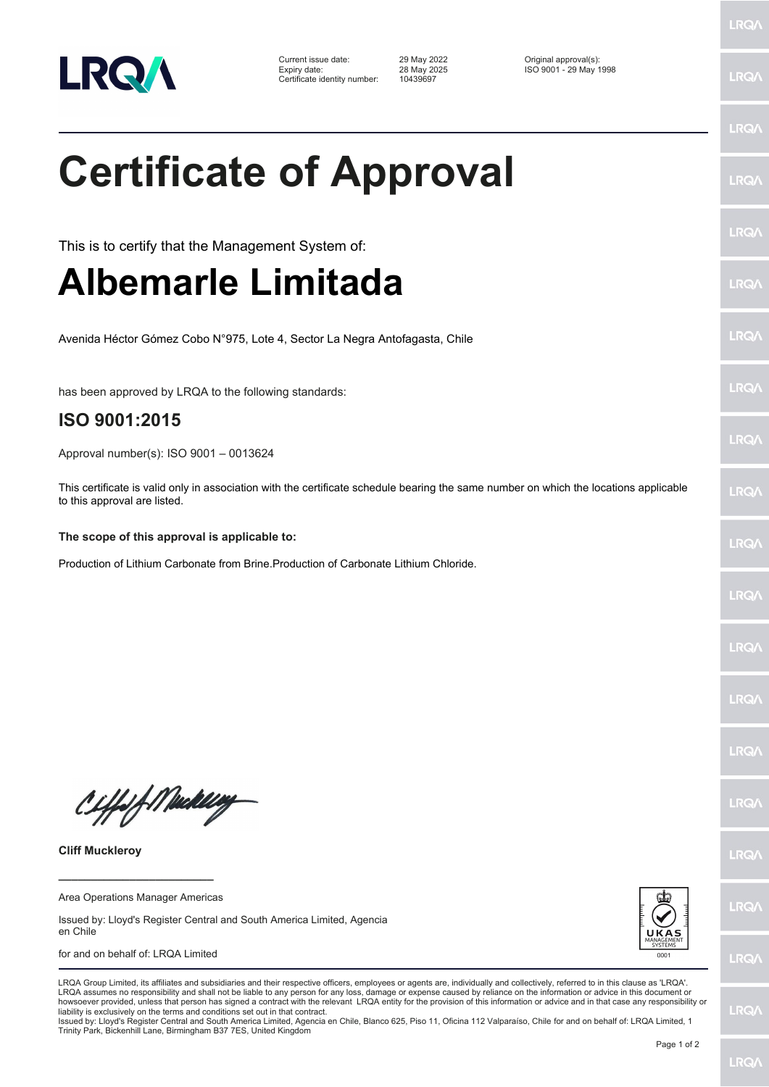

Current issue date: 29 May 2022 Original approval(s): Expiry date: 28 May 2025 ISO 9001 - 29 May 1998 Certificate identity number: 10439697

**Certificate of Approval**

This is to certify that the Management System of:

## **Albemarle Limitada**

Avenida Héctor Gómez Cobo N°975, Lote 4, Sector La Negra Antofagasta, Chile

has been approved by LRQA to the following standards:

### **ISO 9001:2015**

Approval number(s): ISO 9001 – 0013624

This certificate is valid only in association with the certificate schedule bearing the same number on which the locations applicable to this approval are listed.

#### **The scope of this approval is applicable to:**

Production of Lithium Carbonate from Brine.Production of Carbonate Lithium Chloride.

CHfolf Mackey

**Cliff Muckleroy**

**\_\_\_\_\_\_\_\_\_\_\_\_\_\_\_\_\_\_\_\_\_\_\_\_** Area Operations Manager Americas

Issued by: Lloyd's Register Central and South America Limited, Agencia en Chile

#### for and on behalf of: LRQA Limited



**LRQ/** 

LRQA assumes no responsibility and shall not be liable to any person for any loss, damage or expense caused by reliance on the information or advice in this document or howsoever provided, unless that person has signed a contract with the relevant LRQA entity for the provision of this information or advice and in that case any responsibility or<br>liability is exclusively on the terms and co Issued by: Lloyd's Register Central and South America Limited, Agencia en Chile, Blanco 625, Piso 11, Oficina 112 Valparaíso, Chile for and on behalf of: LRQA Limited, 1

Trinity Park, Bickenhill Lane, Birmingham B37 7ES, United Kingdom

LRQA Group Limited, its affiliates and subsidiaries and their respective officers, employees or agents are, individually and collectively, referred to in this clause as 'LRQA'.

LRQ/

LRQ/

LRQ/

LRQ/

LRQ/

LRQ/

LRQ/

LRQ/

LRQ/

**LRQA** 

**LRO** 

LRQ/

LRQ/

LRQ/

LRQ/

**IRQ** 

**IRQA** 

LRQ/

LRQ/